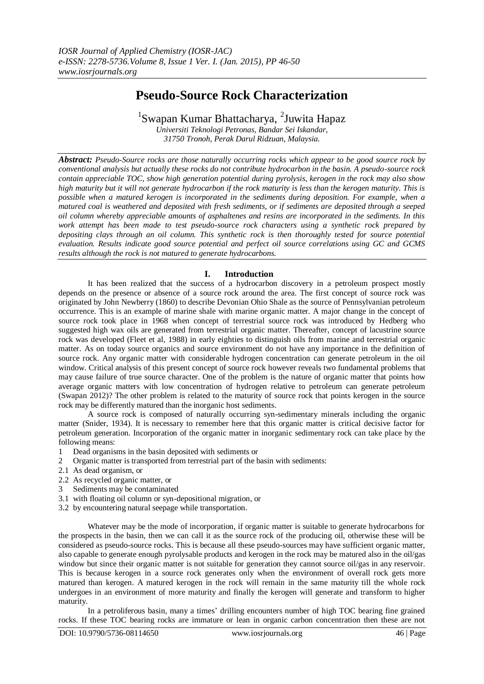# **Pseudo-Source Rock Characterization**

<sup>1</sup>Swapan Kumar Bhattacharya, <sup>2</sup>Juwita Hapaz

*Universiti Teknologi Petronas, Bandar Sei Iskandar, 31750 Tronoh, Perak Darul Ridzuan, Malaysia.*

*Abstract: Pseudo-Source rocks are those naturally occurring rocks which appear to be good source rock by conventional analysis but actually these rocks do not contribute hydrocarbon in the basin. A pseudo-source rock contain appreciable TOC, show high generation potential during pyrolysis, kerogen in the rock may also show high maturity but it will not generate hydrocarbon if the rock maturity is less than the kerogen maturity. This is possible when a matured kerogen is incorporated in the sediments during deposition. For example, when a matured coal is weathered and deposited with fresh sediments, or if sediments are deposited through a seeped oil column whereby appreciable amounts of asphaltenes and resins are incorporated in the sediments. In this work attempt has been made to test pseudo-source rock characters using a synthetic rock prepared by depositing clays through an oil column. This synthetic rock is then thoroughly tested for source potential evaluation. Results indicate good source potential and perfect oil source correlations using GC and GCMS results although the rock is not matured to generate hydrocarbons.*

## **I. Introduction**

It has been realized that the success of a hydrocarbon discovery in a petroleum prospect mostly depends on the presence or absence of a source rock around the area. The first concept of source rock was originated by John Newberry (1860) to describe Devonian Ohio Shale as the source of Pennsylvanian petroleum occurrence. This is an example of marine shale with marine organic matter. A major change in the concept of source rock took place in 1968 when concept of terrestrial source rock was introduced by Hedberg who suggested high wax oils are generated from terrestrial organic matter. Thereafter, concept of lacustrine source rock was developed (Fleet et al, 1988) in early eighties to distinguish oils from marine and terrestrial organic matter. As on today source organics and source environment do not have any importance in the definition of source rock. Any organic matter with considerable hydrogen concentration can generate petroleum in the oil window. Critical analysis of this present concept of source rock however reveals two fundamental problems that may cause failure of true source character. One of the problem is the nature of organic matter that points how average organic matters with low concentration of hydrogen relative to petroleum can generate petroleum (Swapan 2012)? The other problem is related to the maturity of source rock that points kerogen in the source rock may be differently matured than the inorganic host sediments.

A source rock is composed of naturally occurring syn-sedimentary minerals including the organic matter (Snider, 1934). It is necessary to remember here that this organic matter is critical decisive factor for petroleum generation. Incorporation of the organic matter in inorganic sedimentary rock can take place by the following means:

- 1 Dead organisms in the basin deposited with sediments or
- 2 Organic matter is transported from terrestrial part of the basin with sediments:
- 2.1 As dead organism, or
- 2.2 As recycled organic matter, or
- 3 Sediments may be contaminated
- 3.1 with floating oil column or syn-depositional migration, or
- 3.2 by encountering natural seepage while transportation.

Whatever may be the mode of incorporation, if organic matter is suitable to generate hydrocarbons for the prospects in the basin, then we can call it as the source rock of the producing oil, otherwise these will be considered as pseudo-source rocks. This is because all these pseudo-sources may have sufficient organic matter, also capable to generate enough pyrolysable products and kerogen in the rock may be matured also in the oil/gas window but since their organic matter is not suitable for generation they cannot source oil/gas in any reservoir. This is because kerogen in a source rock generates only when the environment of overall rock gets more matured than kerogen. A matured kerogen in the rock will remain in the same maturity till the whole rock undergoes in an environment of more maturity and finally the kerogen will generate and transform to higher maturity.

In a petroliferous basin, many a times' drilling encounters number of high TOC bearing fine grained rocks. If these TOC bearing rocks are immature or lean in organic carbon concentration then these are not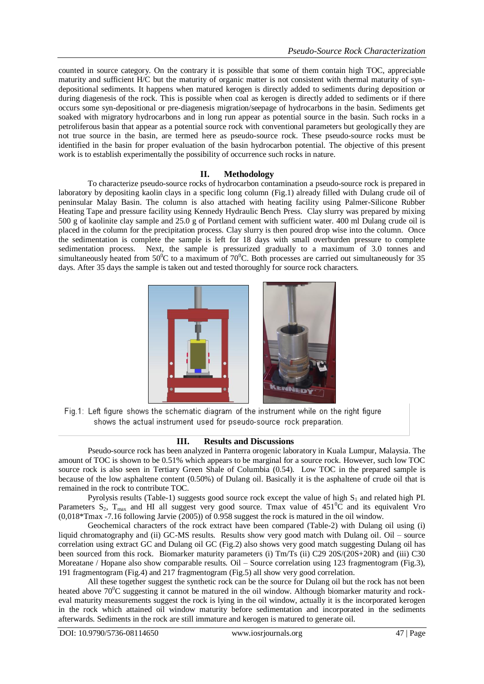counted in source category. On the contrary it is possible that some of them contain high TOC, appreciable maturity and sufficient H/C but the maturity of organic matter is not consistent with thermal maturity of syndepositional sediments. It happens when matured kerogen is directly added to sediments during deposition or during diagenesis of the rock. This is possible when coal as kerogen is directly added to sediments or if there occurs some syn-depositional or pre-diagenesis migration/seepage of hydrocarbons in the basin. Sediments get soaked with migratory hydrocarbons and in long run appear as potential source in the basin. Such rocks in a petroliferous basin that appear as a potential source rock with conventional parameters but geologically they are not true source in the basin, are termed here as pseudo-source rock. These pseudo-source rocks must be identified in the basin for proper evaluation of the basin hydrocarbon potential. The objective of this present work is to establish experimentally the possibility of occurrence such rocks in nature.

# **II. Methodology**

To characterize pseudo-source rocks of hydrocarbon contamination a pseudo-source rock is prepared in laboratory by depositing kaolin clays in a specific long column (Fig.1) already filled with Dulang crude oil of peninsular Malay Basin. The column is also attached with heating facility using Palmer-Silicone Rubber Heating Tape and pressure facility using Kennedy Hydraulic Bench Press. Clay slurry was prepared by mixing 500 g of kaolinite clay sample and 25.0 g of Portland cement with sufficient water. 400 ml Dulang crude oil is placed in the column for the precipitation process. Clay slurry is then poured drop wise into the column. Once the sedimentation is complete the sample is left for 18 days with small overburden pressure to complete sedimentation process. Next, the sample is pressurized gradually to a maximum of 3.0 tonnes and simultaneously heated from  $50^{\circ}$ C to a maximum of  $70^{\circ}$ C. Both processes are carried out simultaneously for 35 days. After 35 days the sample is taken out and tested thoroughly for source rock characters.



Fig.1: Left figure shows the schematic diagram of the instrument while on the right figure shows the actual instrument used for pseudo-source rock preparation.

## **III. Results and Discussions**

Pseudo-source rock has been analyzed in Panterra orogenic laboratory in Kuala Lumpur, Malaysia. The amount of TOC is shown to be 0.51% which appears to be marginal for a source rock. However, such low TOC source rock is also seen in Tertiary Green Shale of Columbia (0.54). Low TOC in the prepared sample is because of the low asphaltene content (0.50%) of Dulang oil. Basically it is the asphaltene of crude oil that is remained in the rock to contribute TOC.

Pyrolysis results (Table-1) suggests good source rock except the value of high  $S_1$  and related high PI. Parameters  $S_2$ ,  $T_{\text{max}}$  and HI all suggest very good source. Tmax value of  $451^{\circ}$ C and its equivalent Vro (0,018\*Tmax -7.16 following Jarvie (2005)) of 0.958 suggest the rock is matured in the oil window.

Geochemical characters of the rock extract have been compared (Table-2) with Dulang oil using (i) liquid chromatography and (ii) GC-MS results. Results show very good match with Dulang oil. Oil – source correlation using extract GC and Dulang oil GC (Fig.2) also shows very good match suggesting Dulang oil has been sourced from this rock. Biomarker maturity parameters (i) Tm/Ts (ii) C29 20S/(20S+20R) and (iii) C30 Moreatane / Hopane also show comparable results. Oil – Source correlation using 123 fragmentogram (Fig.3), 191 fragmentogram (Fig.4) and 217 fragmentogram (Fig.5) all show very good correlation.

All these together suggest the synthetic rock can be the source for Dulang oil but the rock has not been heated above 70<sup>°</sup>C suggesting it cannot be matured in the oil window. Although biomarker maturity and rockeval maturity measurements suggest the rock is lying in the oil window, actually it is the incorporated kerogen in the rock which attained oil window maturity before sedimentation and incorporated in the sediments afterwards. Sediments in the rock are still immature and kerogen is matured to generate oil.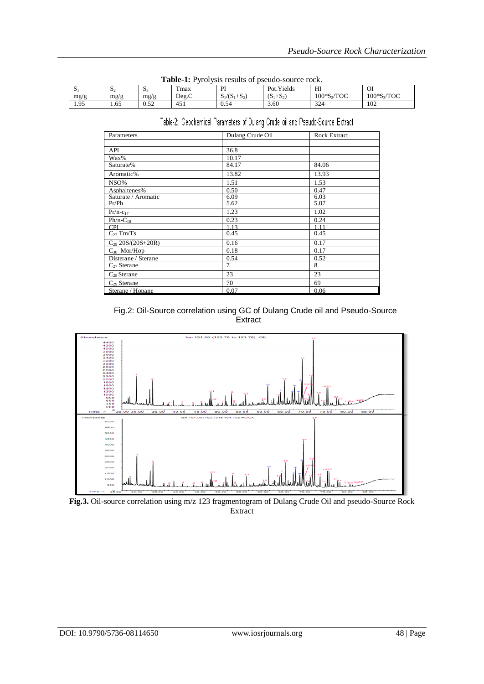| <b>Table-1.</b> I VIOI VSIS LESUILS OF DSEULO-SOULCE FOCK. |      |      |       |                 |             |              |            |  |  |
|------------------------------------------------------------|------|------|-------|-----------------|-------------|--------------|------------|--|--|
| <u>نۍ</u>                                                  | Ю.   | - Da | max   | ÞІ              | Pot. Yields | HI           | OI         |  |  |
| mg/g                                                       | mg/g | mg/g | Deg.C | $S_1/(S_1+S_2)$ | $(S_1+S_2)$ | $100*S2/TOC$ | 100*S3/TOC |  |  |
| 1.95                                                       | . 65 | 0.52 | 451   | 0.54            | 3.60        | 324          | 102        |  |  |

| Table-1: Pyrolysis results of pseudo-source rock. |  |
|---------------------------------------------------|--|
|---------------------------------------------------|--|

Table-2: Geochemical Parameters of Dulang Crude oil and Pseudo-Source Extract

| Parameters             | Dulang Crude Oil | <b>Rock Extract</b> |
|------------------------|------------------|---------------------|
|                        |                  |                     |
| API                    | 36.8             |                     |
| Wax%                   | 10.17            |                     |
| Saturate%              | 84.17            | 84.06               |
| Aromatic%              | 13.82            | 13.93               |
| NSO%                   | 1.51             | 1.53                |
| Asphaltenes%           | 0.50             | 0.47                |
| Saturate / Aromatic    | 6.09             | 6.03                |
| Pr/Ph                  | 5.62             | 5.07                |
| $Pr/n-c_{17}$          | 1.23             | 1.02                |
| $Ph/n-C_{18}$          | 0.23             | 0.24                |
| <b>CPI</b>             | 1.13             | 1.11                |
| $C_{27}$ Tm/Ts         | 0.45             | 0.45                |
| $C_{29}$ 20S/(20S+20R) | 0.16             | 0.17                |
| $C_{30}$ Mor/Hop       | 0.18             | 0.17                |
| Disterane / Sterane    | 0.54             | 0.52                |
| $C_{27}$ Sterane       | 7                | 8                   |
| $C_{28}$ Sterane       | 23               | 23                  |
| $C_{29}$ Sterane       | 70               | 69                  |
| Sterane / Hopane       | 0.07             | 0.06                |

 Fig.2: Oil-Source correlation using GC of Dulang Crude oil and Pseudo-Source **Extract** 



**Fig.3.** Oil-source correlation using m/z 123 fragmentogram of Dulang Crude Oil and pseudo-Source Rock Extract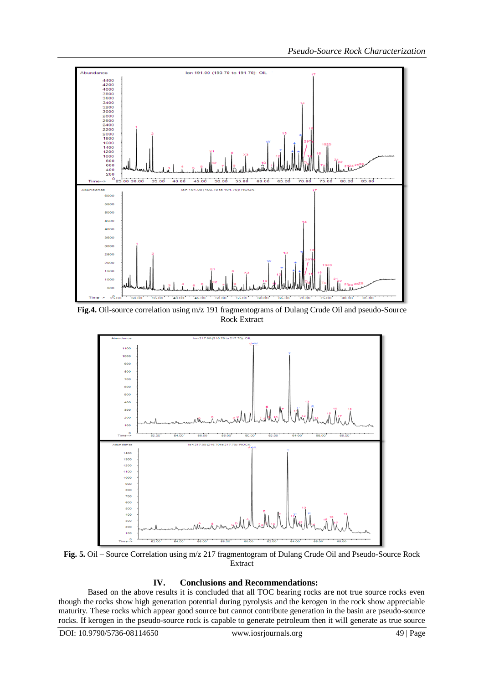

**Fig.4.** Oil-source correlation using m/z 191 fragmentograms of Dulang Crude Oil and pseudo-Source Rock Extract



**Fig. 5.** Oil – Source Correlation using m/z 217 fragmentogram of Dulang Crude Oil and Pseudo-Source Rock Extract

# **IV. Conclusions and Recommendations:**

Based on the above results it is concluded that all TOC bearing rocks are not true source rocks even though the rocks show high generation potential during pyrolysis and the kerogen in the rock show appreciable maturity. These rocks which appear good source but cannot contribute generation in the basin are pseudo-source rocks. If kerogen in the pseudo-source rock is capable to generate petroleum then it will generate as true source